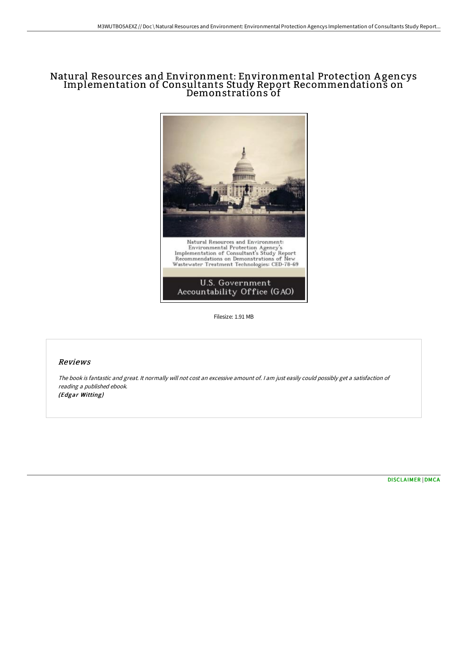# Natural Resources and Environment: Environmental Protection A gencys Implementation of Consultants Study Report Recommendations on Demonstrations of



Filesize: 1.91 MB

## Reviews

The book is fantastic and great. It normally will not cost an excessive amount of. <sup>I</sup> am just easily could possibly get <sup>a</sup> satisfaction of reading <sup>a</sup> published ebook. (Edgar Witting)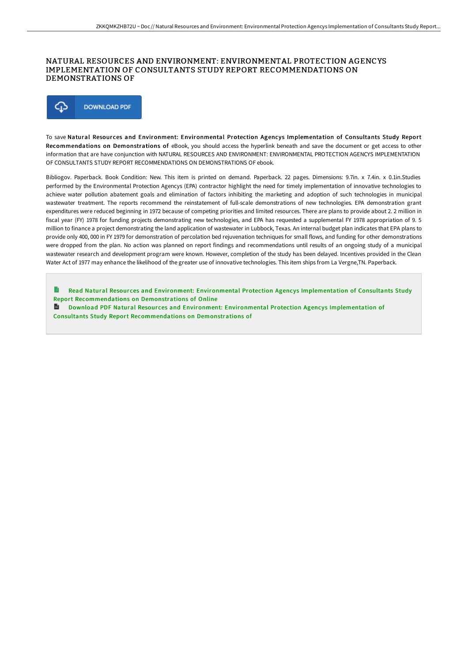### NATURAL RESOURCES AND ENVIRONMENT: ENVIRONMENTAL PROTECTION AGENCYS IMPLEMENTATION OF CONSULTANTS STUDY REPORT RECOMMENDATIONS ON DEMONSTRATIONS OF



To save Natural Resour ces and Environment: Environmental Protection Agencys Implementation of Consultants Study Report Recommendations on Demonstrations of eBook, you should access the hyperlink beneath and save the document or get access to other information that are have conjunction with NATURAL RESOURCES AND ENVIRONMENT: ENVIRONMENTAL PROTECTION AGENCYS IMPLEMENTATION OF CONSULTANTS STUDY REPORT RECOMMENDATIONS ON DEMONSTRATIONS OF ebook.

Bibliogov. Paperback. Book Condition: New. This item is printed on demand. Paperback. 22 pages. Dimensions: 9.7in. x 7.4in. x 0.1in.Studies performed by the Environmental Protection Agencys (EPA) contractor highlight the need for timely implementation of innovative technologies to achieve water pollution abatement goals and elimination of factors inhibiting the marketing and adoption of such technologies in municipal wastewater treatment. The reports recommend the reinstatement of full-scale demonstrations of new technologies. EPA demonstration grant expenditures were reduced beginning in 1972 because of competing priorities and limited resources. There are plans to provide about 2. 2 million in fiscal year (FY) 1978 for funding projects demonstrating new technologies, and EPA has requested a supplemental FY 1978 appropriation of 9. 5 million to finance a project demonstrating the land application of wastewater in Lubbock, Texas. An internal budget plan indicates that EPA plans to provide only 400, 000 in FY 1979 for demonstration of percolation bed rejuvenation techniques for small flows, and funding for other demonstrations were dropped from the plan. No action was planned on report findings and recommendations until results of an ongoing study of a municipal wastewater research and development program were known. However, completion of the study has been delayed. Incentives provided in the Clean Water Act of 1977 may enhance the likelihood of the greater use of innovative technologies. This item ships from La Vergne,TN. Paperback.

Read Natural Resour ces and Environment: Environmental Protection Agencys Implementation of Consultants Study Report [Recommendations](http://bookera.tech/natural-resources-and-environment-environmental-.html) on Demonstrations of Online

 $\mathbf{r}$ Download PDF Natural Resour ces and Environment: Environmental Protection Agencys Implementation of Consultants Study Report [Recommendations](http://bookera.tech/natural-resources-and-environment-environmental-.html) on Demonstrations of